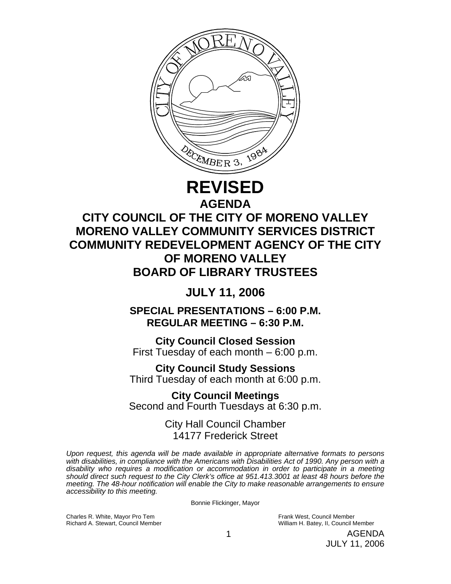

## **REVISED AGENDA**

# **CITY COUNCIL OF THE CITY OF MORENO VALLEY MORENO VALLEY COMMUNITY SERVICES DISTRICT COMMUNITY REDEVELOPMENT AGENCY OF THE CITY OF MORENO VALLEY BOARD OF LIBRARY TRUSTEES**

## **JULY 11, 2006**

**SPECIAL PRESENTATIONS – 6:00 P.M. REGULAR MEETING – 6:30 P.M.** 

**City Council Closed Session**  First Tuesday of each month – 6:00 p.m.

**City Council Study Sessions**  Third Tuesday of each month at 6:00 p.m. **City Council Meetings** 

Second and Fourth Tuesdays at 6:30 p.m.

City Hall Council Chamber 14177 Frederick Street

*Upon request, this agenda will be made available in appropriate alternative formats to persons with disabilities, in compliance with the Americans with Disabilities Act of 1990. Any person with a disability who requires a modification or accommodation in order to participate in a meeting should direct such request to the City Clerk's office at 951.413.3001 at least 48 hours before the meeting. The 48-hour notification will enable the City to make reasonable arrangements to ensure accessibility to this meeting.* 

Bonnie Flickinger, Mayor

Charles R. White, Mayor Pro Tem Frank West, Council Member Frank West, Council Member Frank West, Council Member Frank West, Council Member Frank West, Council Member Frank West, Council Member Frank West, Council Member F

William H. Batey, II, Council Member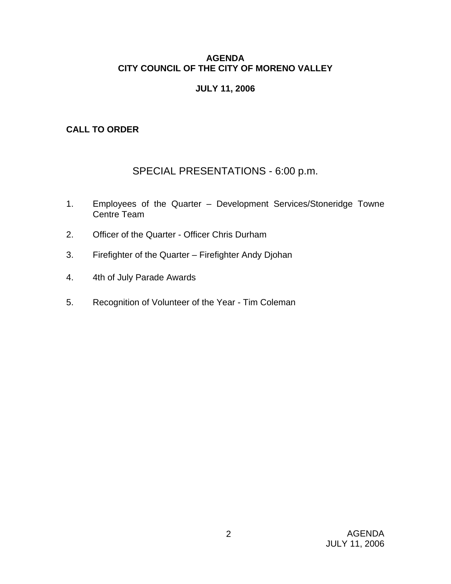## **AGENDA CITY COUNCIL OF THE CITY OF MORENO VALLEY**

## **JULY 11, 2006**

## **CALL TO ORDER**

## SPECIAL PRESENTATIONS - 6:00 p.m.

- 1. Employees of the Quarter Development Services/Stoneridge Towne Centre Team
- 2. Officer of the Quarter Officer Chris Durham
- 3. Firefighter of the Quarter Firefighter Andy Djohan
- 4. 4th of July Parade Awards
- 5. Recognition of Volunteer of the Year Tim Coleman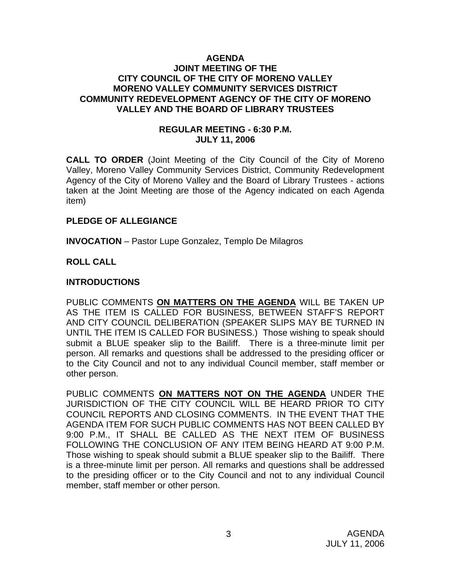#### **AGENDA JOINT MEETING OF THE CITY COUNCIL OF THE CITY OF MORENO VALLEY MORENO VALLEY COMMUNITY SERVICES DISTRICT COMMUNITY REDEVELOPMENT AGENCY OF THE CITY OF MORENO VALLEY AND THE BOARD OF LIBRARY TRUSTEES**

### **REGULAR MEETING - 6:30 P.M. JULY 11, 2006**

**CALL TO ORDER** (Joint Meeting of the City Council of the City of Moreno Valley, Moreno Valley Community Services District, Community Redevelopment Agency of the City of Moreno Valley and the Board of Library Trustees - actions taken at the Joint Meeting are those of the Agency indicated on each Agenda item)

### **PLEDGE OF ALLEGIANCE**

**INVOCATION** – Pastor Lupe Gonzalez, Templo De Milagros

## **ROLL CALL**

## **INTRODUCTIONS**

PUBLIC COMMENTS **ON MATTERS ON THE AGENDA** WILL BE TAKEN UP AS THE ITEM IS CALLED FOR BUSINESS, BETWEEN STAFF'S REPORT AND CITY COUNCIL DELIBERATION (SPEAKER SLIPS MAY BE TURNED IN UNTIL THE ITEM IS CALLED FOR BUSINESS.) Those wishing to speak should submit a BLUE speaker slip to the Bailiff. There is a three-minute limit per person. All remarks and questions shall be addressed to the presiding officer or to the City Council and not to any individual Council member, staff member or other person.

PUBLIC COMMENTS **ON MATTERS NOT ON THE AGENDA** UNDER THE JURISDICTION OF THE CITY COUNCIL WILL BE HEARD PRIOR TO CITY COUNCIL REPORTS AND CLOSING COMMENTS. IN THE EVENT THAT THE AGENDA ITEM FOR SUCH PUBLIC COMMENTS HAS NOT BEEN CALLED BY 9:00 P.M., IT SHALL BE CALLED AS THE NEXT ITEM OF BUSINESS FOLLOWING THE CONCLUSION OF ANY ITEM BEING HEARD AT 9:00 P.M. Those wishing to speak should submit a BLUE speaker slip to the Bailiff. There is a three-minute limit per person. All remarks and questions shall be addressed to the presiding officer or to the City Council and not to any individual Council member, staff member or other person.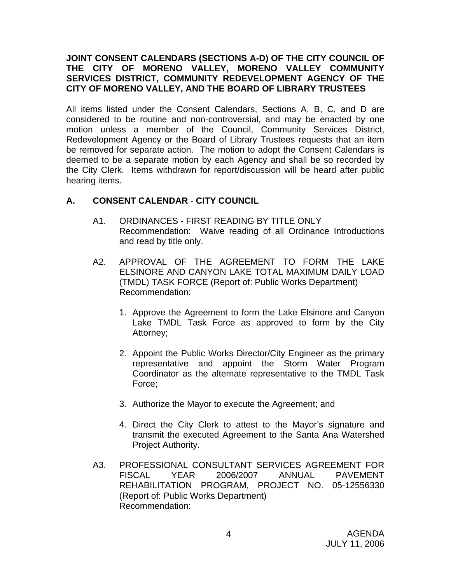## **JOINT CONSENT CALENDARS (SECTIONS A-D) OF THE CITY COUNCIL OF THE CITY OF MORENO VALLEY, MORENO VALLEY COMMUNITY SERVICES DISTRICT, COMMUNITY REDEVELOPMENT AGENCY OF THE CITY OF MORENO VALLEY, AND THE BOARD OF LIBRARY TRUSTEES**

All items listed under the Consent Calendars, Sections A, B, C, and D are considered to be routine and non-controversial, and may be enacted by one motion unless a member of the Council, Community Services District, Redevelopment Agency or the Board of Library Trustees requests that an item be removed for separate action. The motion to adopt the Consent Calendars is deemed to be a separate motion by each Agency and shall be so recorded by the City Clerk. Items withdrawn for report/discussion will be heard after public hearing items.

## **A. CONSENT CALENDAR** - **CITY COUNCIL**

- A1. ORDINANCES FIRST READING BY TITLE ONLY Recommendation: Waive reading of all Ordinance Introductions and read by title only.
- A2. APPROVAL OF THE AGREEMENT TO FORM THE LAKE ELSINORE AND CANYON LAKE TOTAL MAXIMUM DAILY LOAD (TMDL) TASK FORCE (Report of: Public Works Department) Recommendation:
	- 1. Approve the Agreement to form the Lake Elsinore and Canyon Lake TMDL Task Force as approved to form by the City Attorney;
	- 2. Appoint the Public Works Director/City Engineer as the primary representative and appoint the Storm Water Program Coordinator as the alternate representative to the TMDL Task Force;
	- 3. Authorize the Mayor to execute the Agreement; and
	- 4. Direct the City Clerk to attest to the Mayor's signature and transmit the executed Agreement to the Santa Ana Watershed Project Authority.
- A3. PROFESSIONAL CONSULTANT SERVICES AGREEMENT FOR FISCAL YEAR 2006/2007 ANNUAL PAVEMENT REHABILITATION PROGRAM, PROJECT NO. 05-12556330 (Report of: Public Works Department) Recommendation: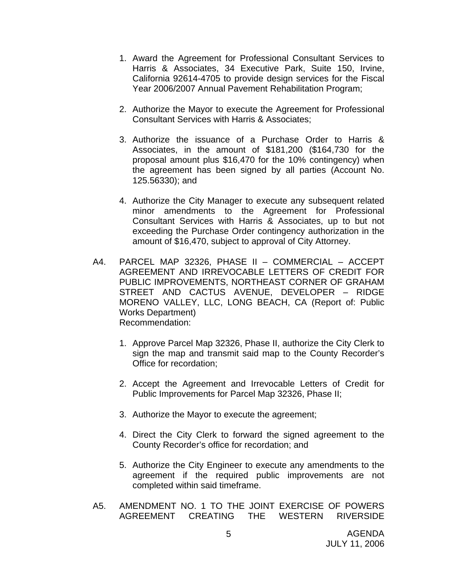- 1. Award the Agreement for Professional Consultant Services to Harris & Associates, 34 Executive Park, Suite 150, Irvine, California 92614-4705 to provide design services for the Fiscal Year 2006/2007 Annual Pavement Rehabilitation Program;
- 2. Authorize the Mayor to execute the Agreement for Professional Consultant Services with Harris & Associates;
- 3. Authorize the issuance of a Purchase Order to Harris & Associates, in the amount of \$181,200 (\$164,730 for the proposal amount plus \$16,470 for the 10% contingency) when the agreement has been signed by all parties (Account No. 125.56330); and
- 4. Authorize the City Manager to execute any subsequent related minor amendments to the Agreement for Professional Consultant Services with Harris & Associates, up to but not exceeding the Purchase Order contingency authorization in the amount of \$16,470, subject to approval of City Attorney.
- A4. PARCEL MAP 32326, PHASE II COMMERCIAL ACCEPT AGREEMENT AND IRREVOCABLE LETTERS OF CREDIT FOR PUBLIC IMPROVEMENTS, NORTHEAST CORNER OF GRAHAM STREET AND CACTUS AVENUE, DEVELOPER – RIDGE MORENO VALLEY, LLC, LONG BEACH, CA (Report of: Public Works Department) Recommendation:
	- 1. Approve Parcel Map 32326, Phase II, authorize the City Clerk to sign the map and transmit said map to the County Recorder's Office for recordation;
	- 2. Accept the Agreement and Irrevocable Letters of Credit for Public Improvements for Parcel Map 32326, Phase II;
	- 3. Authorize the Mayor to execute the agreement;
	- 4. Direct the City Clerk to forward the signed agreement to the County Recorder's office for recordation; and
	- 5. Authorize the City Engineer to execute any amendments to the agreement if the required public improvements are not completed within said timeframe.
- A5. AMENDMENT NO. 1 TO THE JOINT EXERCISE OF POWERS AGREEMENT CREATING THE WESTERN RIVERSIDE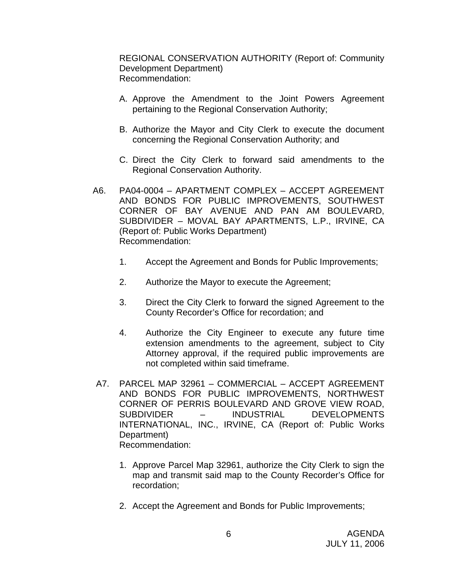REGIONAL CONSERVATION AUTHORITY (Report of: Community Development Department) Recommendation:

- A. Approve the Amendment to the Joint Powers Agreement pertaining to the Regional Conservation Authority;
- B. Authorize the Mayor and City Clerk to execute the document concerning the Regional Conservation Authority; and
- C. Direct the City Clerk to forward said amendments to the Regional Conservation Authority.
- A6. PA04-0004 APARTMENT COMPLEX ACCEPT AGREEMENT AND BONDS FOR PUBLIC IMPROVEMENTS, SOUTHWEST CORNER OF BAY AVENUE AND PAN AM BOULEVARD, SUBDIVIDER – MOVAL BAY APARTMENTS, L.P., IRVINE, CA (Report of: Public Works Department) Recommendation:
	- 1. Accept the Agreement and Bonds for Public Improvements;
	- 2. Authorize the Mayor to execute the Agreement;
	- 3. Direct the City Clerk to forward the signed Agreement to the County Recorder's Office for recordation; and
	- 4. Authorize the City Engineer to execute any future time extension amendments to the agreement, subject to City Attorney approval, if the required public improvements are not completed within said timeframe.
- A7. PARCEL MAP 32961 COMMERCIAL ACCEPT AGREEMENT AND BONDS FOR PUBLIC IMPROVEMENTS, NORTHWEST CORNER OF PERRIS BOULEVARD AND GROVE VIEW ROAD, SUBDIVIDER – INDUSTRIAL DEVELOPMENTS INTERNATIONAL, INC., IRVINE, CA (Report of: Public Works Department) Recommendation:
	- 1. Approve Parcel Map 32961, authorize the City Clerk to sign the map and transmit said map to the County Recorder's Office for recordation;
	- 2. Accept the Agreement and Bonds for Public Improvements;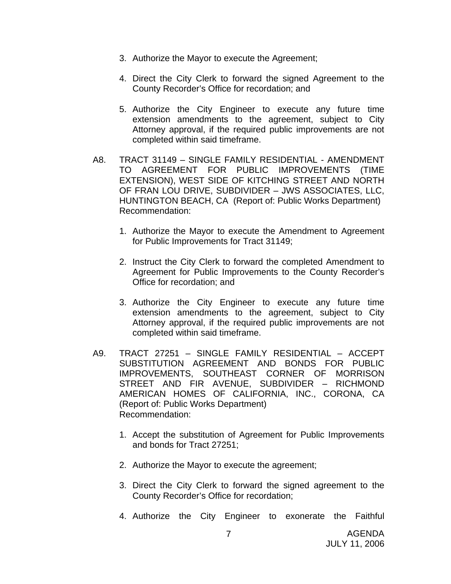- 3. Authorize the Mayor to execute the Agreement;
- 4. Direct the City Clerk to forward the signed Agreement to the County Recorder's Office for recordation; and
- 5. Authorize the City Engineer to execute any future time extension amendments to the agreement, subject to City Attorney approval, if the required public improvements are not completed within said timeframe.
- A8. TRACT 31149 SINGLE FAMILY RESIDENTIAL AMENDMENT TO AGREEMENT FOR PUBLIC IMPROVEMENTS (TIME EXTENSION), WEST SIDE OF KITCHING STREET AND NORTH OF FRAN LOU DRIVE, SUBDIVIDER – JWS ASSOCIATES, LLC, HUNTINGTON BEACH, CA (Report of: Public Works Department) Recommendation:
	- 1. Authorize the Mayor to execute the Amendment to Agreement for Public Improvements for Tract 31149;
	- 2. Instruct the City Clerk to forward the completed Amendment to Agreement for Public Improvements to the County Recorder's Office for recordation; and
	- 3. Authorize the City Engineer to execute any future time extension amendments to the agreement, subject to City Attorney approval, if the required public improvements are not completed within said timeframe.
- A9. TRACT 27251 SINGLE FAMILY RESIDENTIAL ACCEPT SUBSTITUTION AGREEMENT AND BONDS FOR PUBLIC IMPROVEMENTS, SOUTHEAST CORNER OF MORRISON STREET AND FIR AVENUE, SUBDIVIDER – RICHMOND AMERICAN HOMES OF CALIFORNIA, INC., CORONA, CA (Report of: Public Works Department) Recommendation:
	- 1. Accept the substitution of Agreement for Public Improvements and bonds for Tract 27251;
	- 2. Authorize the Mayor to execute the agreement;
	- 3. Direct the City Clerk to forward the signed agreement to the County Recorder's Office for recordation;
	- 4. Authorize the City Engineer to exonerate the Faithful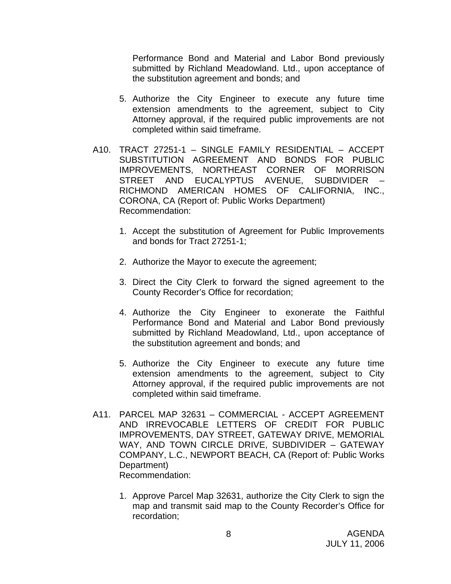Performance Bond and Material and Labor Bond previously submitted by Richland Meadowland. Ltd., upon acceptance of the substitution agreement and bonds; and

- 5. Authorize the City Engineer to execute any future time extension amendments to the agreement, subject to City Attorney approval, if the required public improvements are not completed within said timeframe.
- A10. TRACT 27251-1 SINGLE FAMILY RESIDENTIAL ACCEPT SUBSTITUTION AGREEMENT AND BONDS FOR PUBLIC IMPROVEMENTS, NORTHEAST CORNER OF MORRISON STREET AND EUCALYPTUS AVENUE, SUBDIVIDER – RICHMOND AMERICAN HOMES OF CALIFORNIA, INC., CORONA, CA (Report of: Public Works Department) Recommendation:
	- 1. Accept the substitution of Agreement for Public Improvements and bonds for Tract 27251-1;
	- 2. Authorize the Mayor to execute the agreement;
	- 3. Direct the City Clerk to forward the signed agreement to the County Recorder's Office for recordation;
	- 4. Authorize the City Engineer to exonerate the Faithful Performance Bond and Material and Labor Bond previously submitted by Richland Meadowland, Ltd., upon acceptance of the substitution agreement and bonds; and
	- 5. Authorize the City Engineer to execute any future time extension amendments to the agreement, subject to City Attorney approval, if the required public improvements are not completed within said timeframe.
- A11. PARCEL MAP 32631 COMMERCIAL ACCEPT AGREEMENT AND IRREVOCABLE LETTERS OF CREDIT FOR PUBLIC IMPROVEMENTS, DAY STREET, GATEWAY DRIVE, MEMORIAL WAY, AND TOWN CIRCLE DRIVE, SUBDIVIDER – GATEWAY COMPANY, L.C., NEWPORT BEACH, CA (Report of: Public Works Department) Recommendation:
	- 1. Approve Parcel Map 32631, authorize the City Clerk to sign the map and transmit said map to the County Recorder's Office for recordation;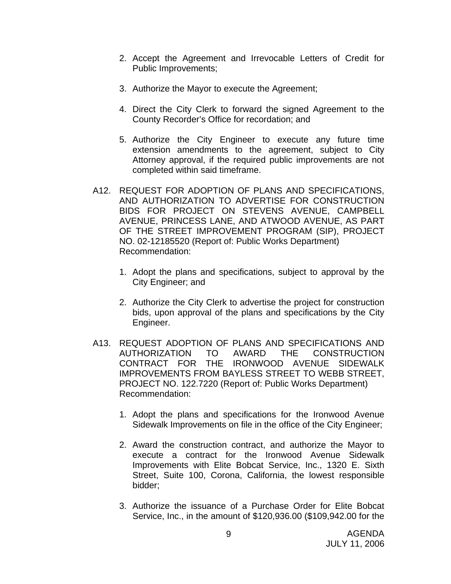- 2. Accept the Agreement and Irrevocable Letters of Credit for Public Improvements;
- 3. Authorize the Mayor to execute the Agreement;
- 4. Direct the City Clerk to forward the signed Agreement to the County Recorder's Office for recordation; and
- 5. Authorize the City Engineer to execute any future time extension amendments to the agreement, subject to City Attorney approval, if the required public improvements are not completed within said timeframe.
- A12. REQUEST FOR ADOPTION OF PLANS AND SPECIFICATIONS, AND AUTHORIZATION TO ADVERTISE FOR CONSTRUCTION BIDS FOR PROJECT ON STEVENS AVENUE, CAMPBELL AVENUE, PRINCESS LANE, AND ATWOOD AVENUE, AS PART OF THE STREET IMPROVEMENT PROGRAM (SIP), PROJECT NO. 02-12185520 (Report of: Public Works Department) Recommendation:
	- 1. Adopt the plans and specifications, subject to approval by the City Engineer; and
	- 2. Authorize the City Clerk to advertise the project for construction bids, upon approval of the plans and specifications by the City Engineer.
- A13. REQUEST ADOPTION OF PLANS AND SPECIFICATIONS AND AUTHORIZATION TO AWARD THE CONSTRUCTION CONTRACT FOR THE IRONWOOD AVENUE SIDEWALK IMPROVEMENTS FROM BAYLESS STREET TO WEBB STREET, PROJECT NO. 122.7220 (Report of: Public Works Department) Recommendation:
	- 1. Adopt the plans and specifications for the Ironwood Avenue Sidewalk Improvements on file in the office of the City Engineer;
	- 2. Award the construction contract, and authorize the Mayor to execute a contract for the Ironwood Avenue Sidewalk Improvements with Elite Bobcat Service, Inc., 1320 E. Sixth Street, Suite 100, Corona, California, the lowest responsible bidder;
	- 3. Authorize the issuance of a Purchase Order for Elite Bobcat Service, Inc., in the amount of \$120,936.00 (\$109,942.00 for the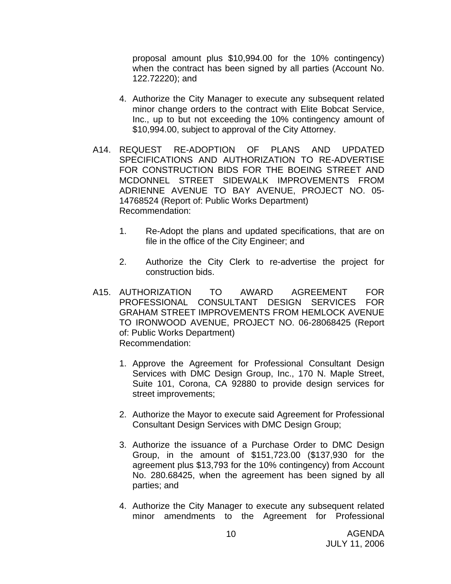proposal amount plus \$10,994.00 for the 10% contingency) when the contract has been signed by all parties (Account No. 122.72220); and

- 4. Authorize the City Manager to execute any subsequent related minor change orders to the contract with Elite Bobcat Service, Inc., up to but not exceeding the 10% contingency amount of \$10,994.00, subject to approval of the City Attorney.
- A14. REQUEST RE-ADOPTION OF PLANS AND UPDATED SPECIFICATIONS AND AUTHORIZATION TO RE-ADVERTISE FOR CONSTRUCTION BIDS FOR THE BOEING STREET AND MCDONNEL STREET SIDEWALK IMPROVEMENTS FROM ADRIENNE AVENUE TO BAY AVENUE, PROJECT NO. 05- 14768524 (Report of: Public Works Department) Recommendation:
	- 1. Re-Adopt the plans and updated specifications, that are on file in the office of the City Engineer; and
	- 2. Authorize the City Clerk to re-advertise the project for construction bids.
- A15. AUTHORIZATION TO AWARD AGREEMENT FOR PROFESSIONAL CONSULTANT DESIGN SERVICES FOR GRAHAM STREET IMPROVEMENTS FROM HEMLOCK AVENUE TO IRONWOOD AVENUE, PROJECT NO. 06-28068425 (Report of: Public Works Department) Recommendation:
	- 1. Approve the Agreement for Professional Consultant Design Services with DMC Design Group, Inc., 170 N. Maple Street, Suite 101, Corona, CA 92880 to provide design services for street improvements;
	- 2. Authorize the Mayor to execute said Agreement for Professional Consultant Design Services with DMC Design Group;
	- 3. Authorize the issuance of a Purchase Order to DMC Design Group, in the amount of \$151,723.00 (\$137,930 for the agreement plus \$13,793 for the 10% contingency) from Account No. 280.68425, when the agreement has been signed by all parties; and
	- 4. Authorize the City Manager to execute any subsequent related minor amendments to the Agreement for Professional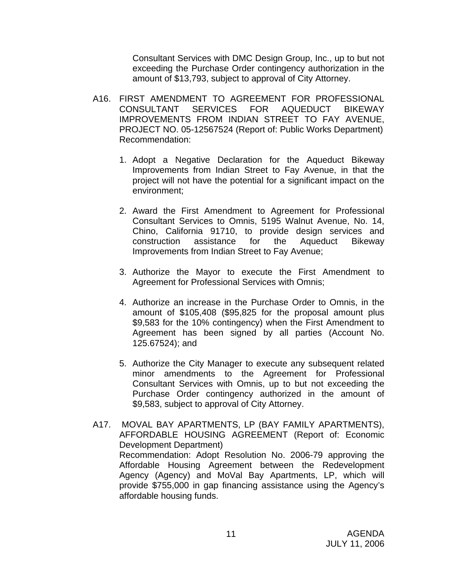Consultant Services with DMC Design Group, Inc., up to but not exceeding the Purchase Order contingency authorization in the amount of \$13,793, subject to approval of City Attorney.

- A16. FIRST AMENDMENT TO AGREEMENT FOR PROFESSIONAL CONSULTANT SERVICES FOR AQUEDUCT BIKEWAY IMPROVEMENTS FROM INDIAN STREET TO FAY AVENUE, PROJECT NO. 05-12567524 (Report of: Public Works Department) Recommendation:
	- 1. Adopt a Negative Declaration for the Aqueduct Bikeway Improvements from Indian Street to Fay Avenue, in that the project will not have the potential for a significant impact on the environment;
	- 2. Award the First Amendment to Agreement for Professional Consultant Services to Omnis, 5195 Walnut Avenue, No. 14, Chino, California 91710, to provide design services and construction assistance for the Aqueduct Bikeway Improvements from Indian Street to Fay Avenue;
	- 3. Authorize the Mayor to execute the First Amendment to Agreement for Professional Services with Omnis;
	- 4. Authorize an increase in the Purchase Order to Omnis, in the amount of \$105,408 (\$95,825 for the proposal amount plus \$9,583 for the 10% contingency) when the First Amendment to Agreement has been signed by all parties (Account No. 125.67524); and
	- 5. Authorize the City Manager to execute any subsequent related minor amendments to the Agreement for Professional Consultant Services with Omnis, up to but not exceeding the Purchase Order contingency authorized in the amount of \$9,583, subject to approval of City Attorney.
- A17. MOVAL BAY APARTMENTS, LP (BAY FAMILY APARTMENTS), AFFORDABLE HOUSING AGREEMENT (Report of: Economic Development Department) Recommendation: Adopt Resolution No. 2006-79 approving the Affordable Housing Agreement between the Redevelopment Agency (Agency) and MoVal Bay Apartments, LP, which will provide \$755,000 in gap financing assistance using the Agency's affordable housing funds.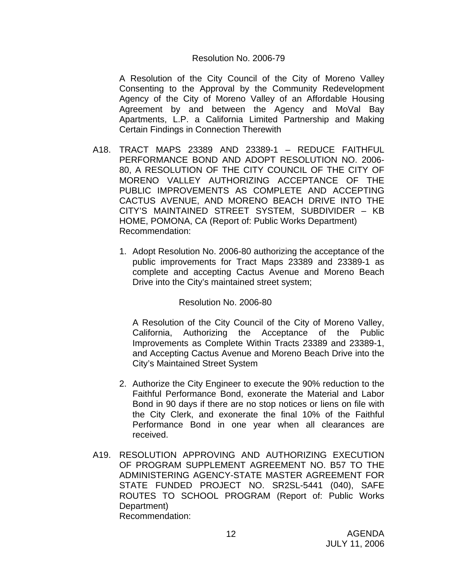#### Resolution No. 2006-79

 A Resolution of the City Council of the City of Moreno Valley Consenting to the Approval by the Community Redevelopment Agency of the City of Moreno Valley of an Affordable Housing Agreement by and between the Agency and MoVal Bay Apartments, L.P. a California Limited Partnership and Making Certain Findings in Connection Therewith

- A18. TRACT MAPS 23389 AND 23389-1 REDUCE FAITHFUL PERFORMANCE BOND AND ADOPT RESOLUTION NO. 2006- 80, A RESOLUTION OF THE CITY COUNCIL OF THE CITY OF MORENO VALLEY AUTHORIZING ACCEPTANCE OF THE PUBLIC IMPROVEMENTS AS COMPLETE AND ACCEPTING CACTUS AVENUE, AND MORENO BEACH DRIVE INTO THE CITY'S MAINTAINED STREET SYSTEM, SUBDIVIDER – KB HOME, POMONA, CA (Report of: Public Works Department) Recommendation:
	- 1. Adopt Resolution No. 2006-80 authorizing the acceptance of the public improvements for Tract Maps 23389 and 23389-1 as complete and accepting Cactus Avenue and Moreno Beach Drive into the City's maintained street system;

### Resolution No. 2006-80

 A Resolution of the City Council of the City of Moreno Valley, California, Authorizing the Acceptance of the Public Improvements as Complete Within Tracts 23389 and 23389-1, and Accepting Cactus Avenue and Moreno Beach Drive into the City's Maintained Street System

- 2. Authorize the City Engineer to execute the 90% reduction to the Faithful Performance Bond, exonerate the Material and Labor Bond in 90 days if there are no stop notices or liens on file with the City Clerk, and exonerate the final 10% of the Faithful Performance Bond in one year when all clearances are received.
- A19. RESOLUTION APPROVING AND AUTHORIZING EXECUTION OF PROGRAM SUPPLEMENT AGREEMENT NO. B57 TO THE ADMINISTERING AGENCY-STATE MASTER AGREEMENT FOR STATE FUNDED PROJECT NO. SR2SL-5441 (040), SAFE ROUTES TO SCHOOL PROGRAM (Report of: Public Works Department) Recommendation: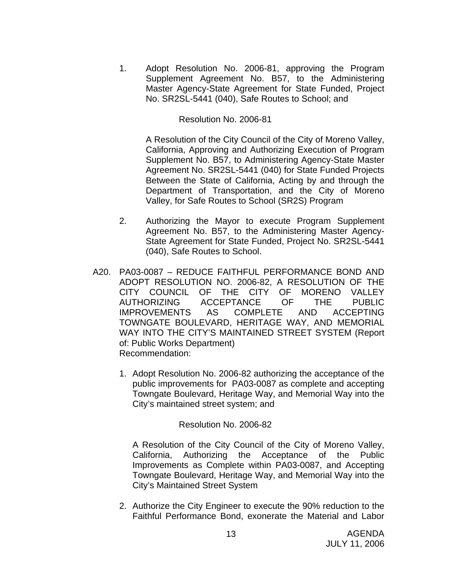1. Adopt Resolution No. 2006-81, approving the Program Supplement Agreement No. B57, to the Administering Master Agency-State Agreement for State Funded, Project No. SR2SL-5441 (040), Safe Routes to School; and

Resolution No. 2006-81

A Resolution of the City Council of the City of Moreno Valley, California, Approving and Authorizing Execution of Program Supplement No. B57, to Administering Agency-State Master Agreement No. SR2SL-5441 (040) for State Funded Projects Between the State of California, Acting by and through the Department of Transportation, and the City of Moreno Valley, for Safe Routes to School (SR2S) Program

- 2. Authorizing the Mayor to execute Program Supplement Agreement No. B57, to the Administering Master Agency-State Agreement for State Funded, Project No. SR2SL-5441 (040), Safe Routes to School.
- A20. PA03-0087 REDUCE FAITHFUL PERFORMANCE BOND AND ADOPT RESOLUTION NO. 2006-82, A RESOLUTION OF THE CITY COUNCIL OF THE CITY OF MORENO VALLEY AUTHORIZING ACCEPTANCE OF THE PUBLIC IMPROVEMENTS AS COMPLETE AND ACCEPTING TOWNGATE BOULEVARD, HERITAGE WAY, AND MEMORIAL WAY INTO THE CITY'S MAINTAINED STREET SYSTEM (Report of: Public Works Department) Recommendation:
	- 1. Adopt Resolution No. 2006-82 authorizing the acceptance of the public improvements for PA03-0087 as complete and accepting Towngate Boulevard, Heritage Way, and Memorial Way into the City's maintained street system; and

### Resolution No. 2006-82

 A Resolution of the City Council of the City of Moreno Valley, California, Authorizing the Acceptance of the Public Improvements as Complete within PA03-0087, and Accepting Towngate Boulevard, Heritage Way, and Memorial Way into the City's Maintained Street System

2. Authorize the City Engineer to execute the 90% reduction to the Faithful Performance Bond, exonerate the Material and Labor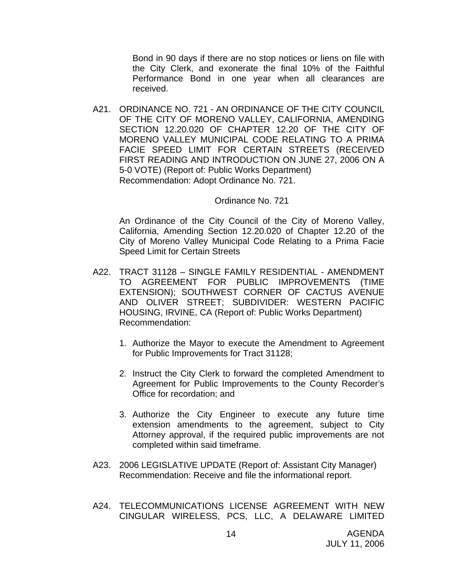Bond in 90 days if there are no stop notices or liens on file with the City Clerk, and exonerate the final 10% of the Faithful Performance Bond in one year when all clearances are received.

A21. ORDINANCE NO. 721 - AN ORDINANCE OF THE CITY COUNCIL OF THE CITY OF MORENO VALLEY, CALIFORNIA, AMENDING SECTION 12.20.020 OF CHAPTER 12.20 OF THE CITY OF MORENO VALLEY MUNICIPAL CODE RELATING TO A PRIMA FACIE SPEED LIMIT FOR CERTAIN STREETS (RECEIVED FIRST READING AND INTRODUCTION ON JUNE 27, 2006 ON A 5-0 VOTE) (Report of: Public Works Department) Recommendation: Adopt Ordinance No. 721.

#### Ordinance No. 721

An Ordinance of the City Council of the City of Moreno Valley, California, Amending Section 12.20.020 of Chapter 12.20 of the City of Moreno Valley Municipal Code Relating to a Prima Facie Speed Limit for Certain Streets

- A22. TRACT 31128 SINGLE FAMILY RESIDENTIAL AMENDMENT TO AGREEMENT FOR PUBLIC IMPROVEMENTS (TIME EXTENSION); SOUTHWEST CORNER OF CACTUS AVENUE AND OLIVER STREET; SUBDIVIDER: WESTERN PACIFIC HOUSING, IRVINE, CA (Report of: Public Works Department) Recommendation:
	- 1. Authorize the Mayor to execute the Amendment to Agreement for Public Improvements for Tract 31128;
	- 2. Instruct the City Clerk to forward the completed Amendment to Agreement for Public Improvements to the County Recorder's Office for recordation; and
	- 3. Authorize the City Engineer to execute any future time extension amendments to the agreement, subject to City Attorney approval, if the required public improvements are not completed within said timeframe.
- A23. 2006 LEGISLATIVE UPDATE (Report of: Assistant City Manager) Recommendation: Receive and file the informational report.
- A24. TELECOMMUNICATIONS LICENSE AGREEMENT WITH NEW CINGULAR WIRELESS, PCS, LLC, A DELAWARE LIMITED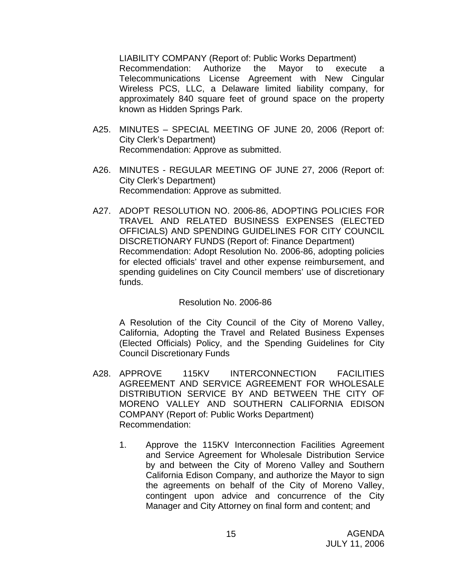LIABILITY COMPANY (Report of: Public Works Department) Recommendation: Authorize the Mayor to execute a Telecommunications License Agreement with New Cingular Wireless PCS, LLC, a Delaware limited liability company, for approximately 840 square feet of ground space on the property known as Hidden Springs Park.

- A25. MINUTES SPECIAL MEETING OF JUNE 20, 2006 (Report of: City Clerk's Department) Recommendation: Approve as submitted.
- A26. MINUTES REGULAR MEETING OF JUNE 27, 2006 (Report of: City Clerk's Department) Recommendation: Approve as submitted.
- A27. ADOPT RESOLUTION NO. 2006-86, ADOPTING POLICIES FOR TRAVEL AND RELATED BUSINESS EXPENSES (ELECTED OFFICIALS) AND SPENDING GUIDELINES FOR CITY COUNCIL DISCRETIONARY FUNDS (Report of: Finance Department) Recommendation: Adopt Resolution No. 2006-86, adopting policies for elected officials' travel and other expense reimbursement, and spending guidelines on City Council members' use of discretionary funds.

### Resolution No. 2006-86

A Resolution of the City Council of the City of Moreno Valley, California, Adopting the Travel and Related Business Expenses (Elected Officials) Policy, and the Spending Guidelines for City Council Discretionary Funds

- A28. APPROVE 115KV INTERCONNECTION FACILITIES AGREEMENT AND SERVICE AGREEMENT FOR WHOLESALE DISTRIBUTION SERVICE BY AND BETWEEN THE CITY OF MORENO VALLEY AND SOUTHERN CALIFORNIA EDISON COMPANY (Report of: Public Works Department) Recommendation:
	- 1. Approve the 115KV Interconnection Facilities Agreement and Service Agreement for Wholesale Distribution Service by and between the City of Moreno Valley and Southern California Edison Company, and authorize the Mayor to sign the agreements on behalf of the City of Moreno Valley, contingent upon advice and concurrence of the City Manager and City Attorney on final form and content; and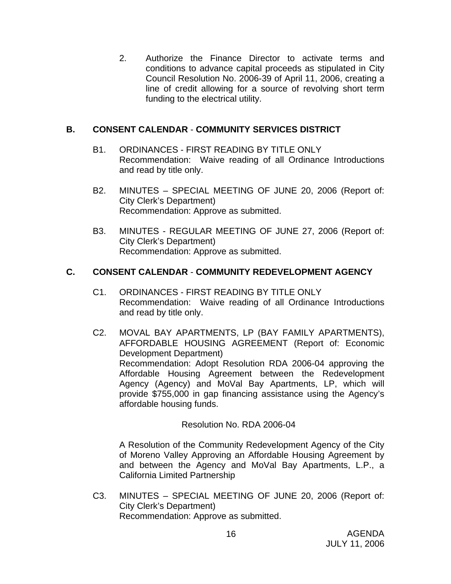2. Authorize the Finance Director to activate terms and conditions to advance capital proceeds as stipulated in City Council Resolution No. 2006-39 of April 11, 2006, creating a line of credit allowing for a source of revolving short term funding to the electrical utility.

## **B. CONSENT CALENDAR** - **COMMUNITY SERVICES DISTRICT**

- B1. ORDINANCES FIRST READING BY TITLE ONLY Recommendation: Waive reading of all Ordinance Introductions and read by title only.
- B2. MINUTES SPECIAL MEETING OF JUNE 20, 2006 (Report of: City Clerk's Department) Recommendation: Approve as submitted.
- B3. MINUTES REGULAR MEETING OF JUNE 27, 2006 (Report of: City Clerk's Department) Recommendation: Approve as submitted.

## **C. CONSENT CALENDAR** - **COMMUNITY REDEVELOPMENT AGENCY**

- C1. ORDINANCES FIRST READING BY TITLE ONLY Recommendation: Waive reading of all Ordinance Introductions and read by title only.
- C2. MOVAL BAY APARTMENTS, LP (BAY FAMILY APARTMENTS), AFFORDABLE HOUSING AGREEMENT (Report of: Economic Development Department) Recommendation: Adopt Resolution RDA 2006-04 approving the Affordable Housing Agreement between the Redevelopment Agency (Agency) and MoVal Bay Apartments, LP, which will provide \$755,000 in gap financing assistance using the Agency's affordable housing funds.

### Resolution No. RDA 2006-04

A Resolution of the Community Redevelopment Agency of the City of Moreno Valley Approving an Affordable Housing Agreement by and between the Agency and MoVal Bay Apartments, L.P., a California Limited Partnership

C3. MINUTES – SPECIAL MEETING OF JUNE 20, 2006 (Report of: City Clerk's Department) Recommendation: Approve as submitted.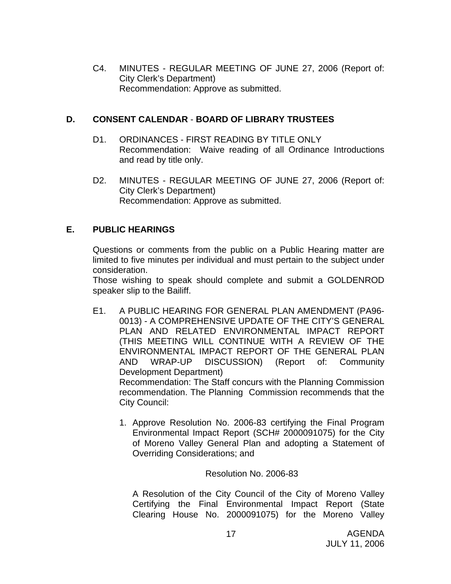C4. MINUTES - REGULAR MEETING OF JUNE 27, 2006 (Report of: City Clerk's Department) Recommendation: Approve as submitted.

## **D. CONSENT CALENDAR** - **BOARD OF LIBRARY TRUSTEES**

- D1. ORDINANCES FIRST READING BY TITLE ONLY Recommendation: Waive reading of all Ordinance Introductions and read by title only.
- D2. MINUTES REGULAR MEETING OF JUNE 27, 2006 (Report of: City Clerk's Department) Recommendation: Approve as submitted.

## **E. PUBLIC HEARINGS**

Questions or comments from the public on a Public Hearing matter are limited to five minutes per individual and must pertain to the subject under consideration.

 Those wishing to speak should complete and submit a GOLDENROD speaker slip to the Bailiff.

E1. A PUBLIC HEARING FOR GENERAL PLAN AMENDMENT (PA96- 0013) - A COMPREHENSIVE UPDATE OF THE CITY'S GENERAL PLAN AND RELATED ENVIRONMENTAL IMPACT REPORT (THIS MEETING WILL CONTINUE WITH A REVIEW OF THE ENVIRONMENTAL IMPACT REPORT OF THE GENERAL PLAN AND WRAP-UP DISCUSSION) (Report of: Community Development Department) Recommendation: The Staff concurs with the Planning Commission

recommendation. The Planning Commission recommends that the City Council:

1. Approve Resolution No. 2006-83 certifying the Final Program Environmental Impact Report (SCH# 2000091075) for the City of Moreno Valley General Plan and adopting a Statement of Overriding Considerations; and

Resolution No. 2006-83

A Resolution of the City Council of the City of Moreno Valley Certifying the Final Environmental Impact Report (State Clearing House No. 2000091075) for the Moreno Valley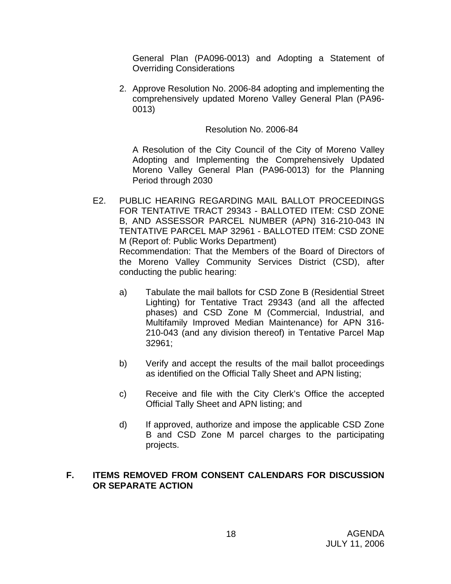General Plan (PA096-0013) and Adopting a Statement of Overriding Considerations

2. Approve Resolution No. 2006-84 adopting and implementing the comprehensively updated Moreno Valley General Plan (PA96- 0013)

## Resolution No. 2006-84

A Resolution of the City Council of the City of Moreno Valley Adopting and Implementing the Comprehensively Updated Moreno Valley General Plan (PA96-0013) for the Planning Period through 2030

- E2. PUBLIC HEARING REGARDING MAIL BALLOT PROCEEDINGS FOR TENTATIVE TRACT 29343 - BALLOTED ITEM: CSD ZONE B, AND ASSESSOR PARCEL NUMBER (APN) 316-210-043 IN TENTATIVE PARCEL MAP 32961 - BALLOTED ITEM: CSD ZONE M (Report of: Public Works Department) Recommendation: That the Members of the Board of Directors of the Moreno Valley Community Services District (CSD), after conducting the public hearing:
	- a) Tabulate the mail ballots for CSD Zone B (Residential Street Lighting) for Tentative Tract 29343 (and all the affected phases) and CSD Zone M (Commercial, Industrial, and Multifamily Improved Median Maintenance) for APN 316- 210-043 (and any division thereof) in Tentative Parcel Map 32961;
	- b) Verify and accept the results of the mail ballot proceedings as identified on the Official Tally Sheet and APN listing;
	- c) Receive and file with the City Clerk's Office the accepted Official Tally Sheet and APN listing; and
	- d) If approved, authorize and impose the applicable CSD Zone B and CSD Zone M parcel charges to the participating projects.

## **F. ITEMS REMOVED FROM CONSENT CALENDARS FOR DISCUSSION OR SEPARATE ACTION**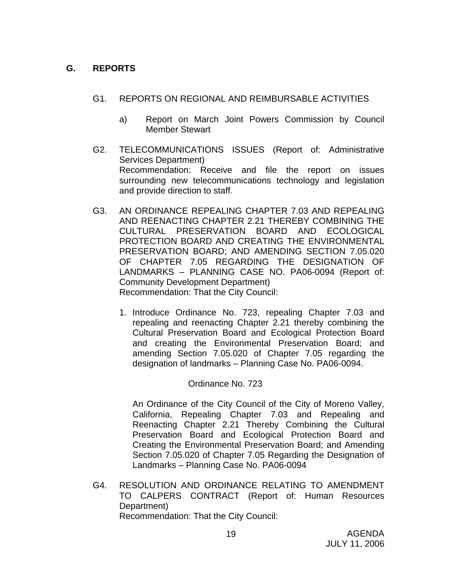## **G. REPORTS**

- G1. REPORTS ON REGIONAL AND REIMBURSABLE ACTIVITIES
	- a) Report on March Joint Powers Commission by Council Member Stewart
- G2. TELECOMMUNICATIONS ISSUES (Report of: Administrative Services Department) Recommendation: Receive and file the report on issues surrounding new telecommunications technology and legislation and provide direction to staff.
- G3. AN ORDINANCE REPEALING CHAPTER 7.03 AND REPEALING AND REENACTING CHAPTER 2.21 THEREBY COMBINING THE CULTURAL PRESERVATION BOARD AND ECOLOGICAL PROTECTION BOARD AND CREATING THE ENVIRONMENTAL PRESERVATION BOARD; AND AMENDING SECTION 7.05.020 OF CHAPTER 7.05 REGARDING THE DESIGNATION OF LANDMARKS – PLANNING CASE NO. PA06-0094 (Report of: Community Development Department) Recommendation: That the City Council:
	- 1. Introduce Ordinance No. 723, repealing Chapter 7.03 and repealing and reenacting Chapter 2.21 thereby combining the Cultural Preservation Board and Ecological Protection Board and creating the Environmental Preservation Board; and amending Section 7.05.020 of Chapter 7.05 regarding the designation of landmarks – Planning Case No. PA06-0094.

## Ordinance No. 723

 An Ordinance of the City Council of the City of Moreno Valley, California, Repealing Chapter 7.03 and Repealing and Reenacting Chapter 2.21 Thereby Combining the Cultural Preservation Board and Ecological Protection Board and Creating the Environmental Preservation Board; and Amending Section 7.05.020 of Chapter 7.05 Regarding the Designation of Landmarks – Planning Case No. PA06-0094

 G4. RESOLUTION AND ORDINANCE RELATING TO AMENDMENT TO CALPERS CONTRACT (Report of: Human Resources Department) Recommendation: That the City Council: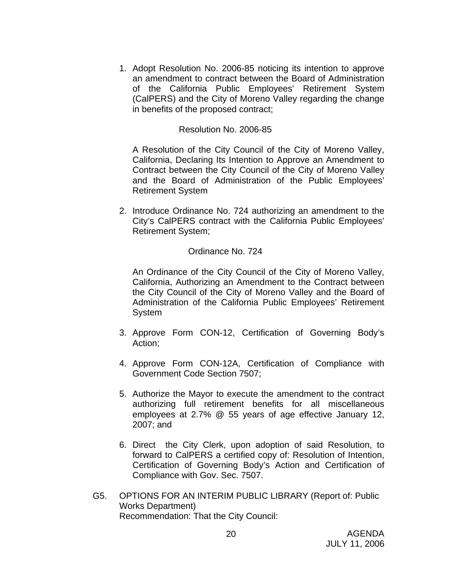1. Adopt Resolution No. 2006-85 noticing its intention to approve an amendment to contract between the Board of Administration of the California Public Employees' Retirement System (CalPERS) and the City of Moreno Valley regarding the change in benefits of the proposed contract;

#### Resolution No. 2006-85

A Resolution of the City Council of the City of Moreno Valley, California, Declaring Its Intention to Approve an Amendment to Contract between the City Council of the City of Moreno Valley and the Board of Administration of the Public Employees' Retirement System

2. Introduce Ordinance No. 724 authorizing an amendment to the City's CalPERS contract with the California Public Employees' Retirement System;

### Ordinance No. 724

 An Ordinance of the City Council of the City of Moreno Valley, California, Authorizing an Amendment to the Contract between the City Council of the City of Moreno Valley and the Board of Administration of the California Public Employees' Retirement **System** 

- 3. Approve Form CON-12, Certification of Governing Body's Action;
- 4. Approve Form CON-12A, Certification of Compliance with Government Code Section 7507;
- 5. Authorize the Mayor to execute the amendment to the contract authorizing full retirement benefits for all miscellaneous employees at 2.7% @ 55 years of age effective January 12, 2007; and
- 6. Direct the City Clerk, upon adoption of said Resolution, to forward to CalPERS a certified copy of: Resolution of Intention, Certification of Governing Body's Action and Certification of Compliance with Gov. Sec. 7507.
- G5. OPTIONS FOR AN INTERIM PUBLIC LIBRARY (Report of: Public Works Department) Recommendation: That the City Council: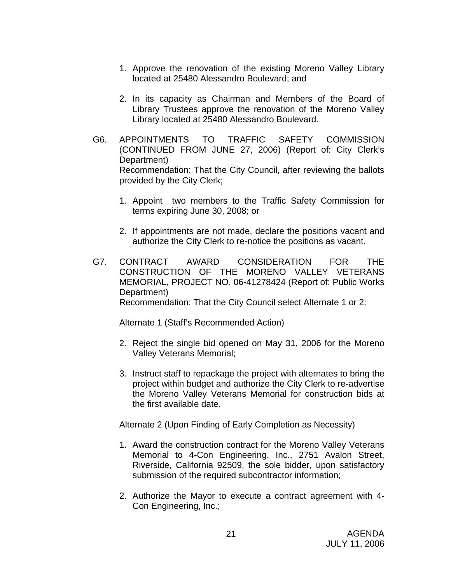- 1. Approve the renovation of the existing Moreno Valley Library located at 25480 Alessandro Boulevard; and
- 2. In its capacity as Chairman and Members of the Board of Library Trustees approve the renovation of the Moreno Valley Library located at 25480 Alessandro Boulevard.
- G6. APPOINTMENTS TO TRAFFIC SAFETY COMMISSION (CONTINUED FROM JUNE 27, 2006) (Report of: City Clerk's Department) Recommendation: That the City Council, after reviewing the ballots provided by the City Clerk;
	- 1. Appoint two members to the Traffic Safety Commission for terms expiring June 30, 2008; or
	- 2. If appointments are not made, declare the positions vacant and authorize the City Clerk to re-notice the positions as vacant.
- G7. CONTRACT AWARD CONSIDERATION FOR THE CONSTRUCTION OF THE MORENO VALLEY VETERANS MEMORIAL, PROJECT NO. 06-41278424 (Report of: Public Works Department) Recommendation: That the City Council select Alternate 1 or 2:

Alternate 1 (Staff's Recommended Action)

- 2. Reject the single bid opened on May 31, 2006 for the Moreno Valley Veterans Memorial;
- 3. Instruct staff to repackage the project with alternates to bring the project within budget and authorize the City Clerk to re-advertise the Moreno Valley Veterans Memorial for construction bids at the first available date.

Alternate 2 (Upon Finding of Early Completion as Necessity)

- 1. Award the construction contract for the Moreno Valley Veterans Memorial to 4-Con Engineering, Inc., 2751 Avalon Street, Riverside, California 92509, the sole bidder, upon satisfactory submission of the required subcontractor information;
- 2. Authorize the Mayor to execute a contract agreement with 4- Con Engineering, Inc.;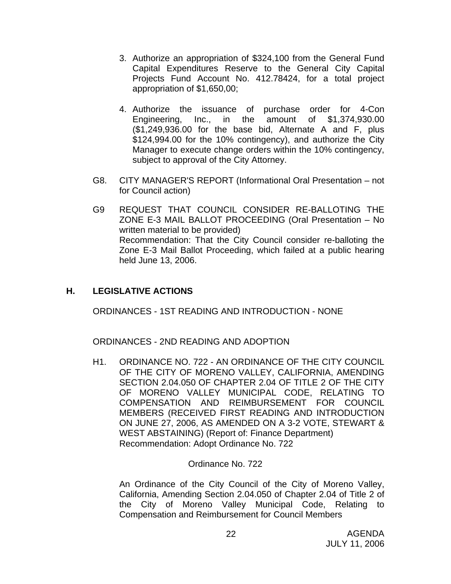- 3. Authorize an appropriation of \$324,100 from the General Fund Capital Expenditures Reserve to the General City Capital Projects Fund Account No. 412.78424, for a total project appropriation of \$1,650,00;
- 4. Authorize the issuance of purchase order for 4-Con Engineering, Inc., in the amount of \$1,374,930.00 (\$1,249,936.00 for the base bid, Alternate A and F, plus \$124,994.00 for the 10% contingency), and authorize the City Manager to execute change orders within the 10% contingency, subject to approval of the City Attorney.
- G8. CITY MANAGER'S REPORT (Informational Oral Presentation not for Council action)
- G9 REQUEST THAT COUNCIL CONSIDER RE-BALLOTING THE ZONE E-3 MAIL BALLOT PROCEEDING (Oral Presentation – No written material to be provided) Recommendation: That the City Council consider re-balloting the Zone E-3 Mail Ballot Proceeding, which failed at a public hearing held June 13, 2006.

## **H. LEGISLATIVE ACTIONS**

ORDINANCES - 1ST READING AND INTRODUCTION - NONE

ORDINANCES - 2ND READING AND ADOPTION

H1. ORDINANCE NO. 722 - AN ORDINANCE OF THE CITY COUNCIL OF THE CITY OF MORENO VALLEY, CALIFORNIA, AMENDING SECTION 2.04.050 OF CHAPTER 2.04 OF TITLE 2 OF THE CITY OF MORENO VALLEY MUNICIPAL CODE, RELATING TO COMPENSATION AND REIMBURSEMENT FOR COUNCIL MEMBERS (RECEIVED FIRST READING AND INTRODUCTION ON JUNE 27, 2006, AS AMENDED ON A 3-2 VOTE, STEWART & WEST ABSTAINING) (Report of: Finance Department) Recommendation: Adopt Ordinance No. 722

## Ordinance No. 722

An Ordinance of the City Council of the City of Moreno Valley, California, Amending Section 2.04.050 of Chapter 2.04 of Title 2 of the City of Moreno Valley Municipal Code, Relating to Compensation and Reimbursement for Council Members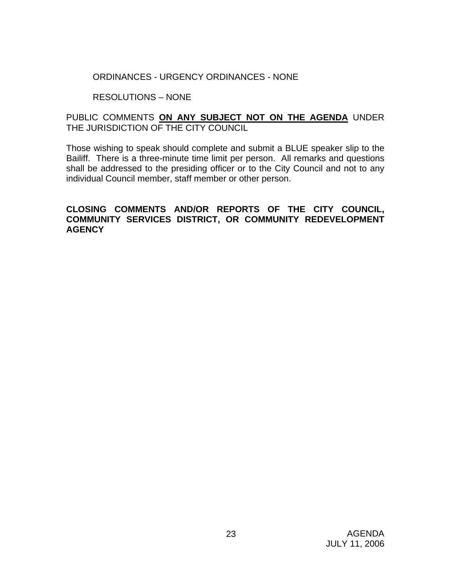ORDINANCES - URGENCY ORDINANCES - NONE

RESOLUTIONS – NONE

## PUBLIC COMMENTS **ON ANY SUBJECT NOT ON THE AGENDA** UNDER THE JURISDICTION OF THE CITY COUNCIL

Those wishing to speak should complete and submit a BLUE speaker slip to the Bailiff. There is a three-minute time limit per person. All remarks and questions shall be addressed to the presiding officer or to the City Council and not to any individual Council member, staff member or other person.

## **CLOSING COMMENTS AND/OR REPORTS OF THE CITY COUNCIL, COMMUNITY SERVICES DISTRICT, OR COMMUNITY REDEVELOPMENT AGENCY**